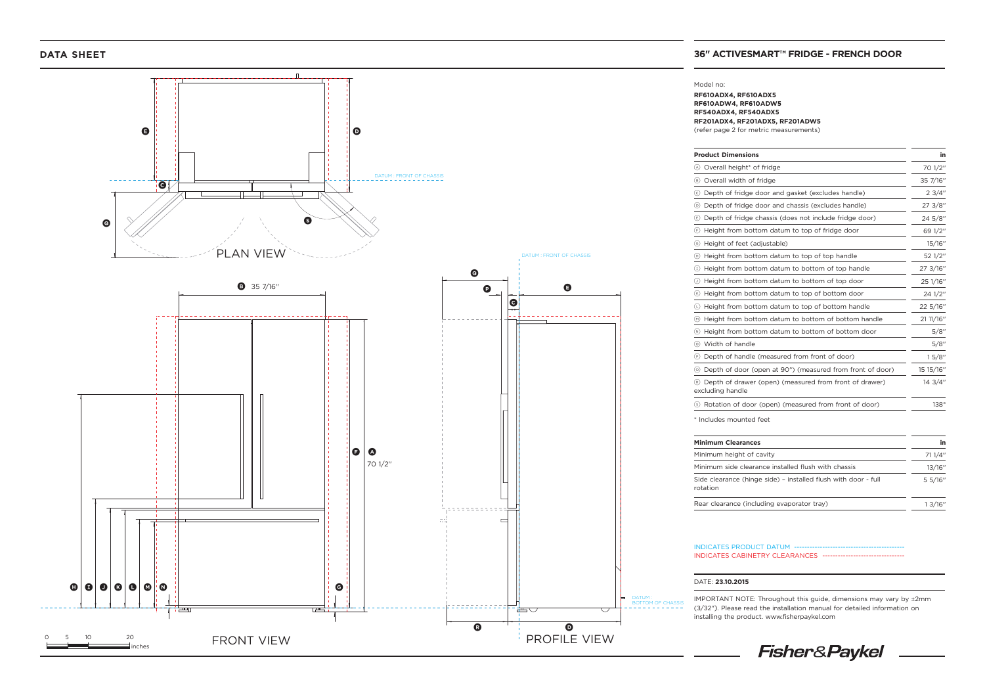

## **DATA SHEET 36" ACTIVESMART™ FRIDGE - FRENCH DOOR**

# Model no:

**RF610ADX4, RF610ADX5 RF610ADW4, RF610ADW5 RF540ADX4, RF540ADX5 RF201ADX4, RF201ADX5, RF201ADW5**  (refer page 2 for metric measurements)

| <b>Product Dimensions</b>                                                  | in        |
|----------------------------------------------------------------------------|-----------|
| Overall height <sup>*</sup> of fridge<br>(A)                               | 70 1/2"   |
| Overall width of fridge<br>(B)                                             | 35 7/16"  |
| Depth of fridge door and gasket (excludes handle)<br>(c)                   | 23/4"     |
| Depth of fridge door and chassis (excludes handle)<br>$\circledcirc$       | 27 3/8"   |
| Depth of fridge chassis (does not include fridge door)<br>$(\epsilon)$     | 24 5/8"   |
| Height from bottom datum to top of fridge door<br>(F)                      | 69 1/2"   |
| Height of feet (adjustable)<br>$\left($ G $\right)$                        | 15/16"    |
| Height from bottom datum to top of top handle<br>(H)                       | 52 1/2"   |
| Height from bottom datum to bottom of top handle<br>$\left( 1\right)$      | 27 3/16"  |
| Height from bottom datum to bottom of top door<br>$\left( \cdot \right)$   | 25 1/16"  |
| Height from bottom datum to top of bottom door<br>$(\kappa)$               | 24 1/2"   |
| Height from bottom datum to top of bottom handle<br>(L)                    | 22 5/16"  |
| Height from bottom datum to bottom of bottom handle<br>$(\overline{M})$    | 21 11/16" |
| Height from bottom datum to bottom of bottom door<br>(N)                   | 5/8"      |
| Width of handle<br>(o)                                                     | 5/8"      |
| Depth of handle (measured from front of door)<br>$(\mathsf{P})$            | 15/8"     |
| Depth of door (open at 90°) (measured from front of door)<br>$\circ$       | 15 15/16" |
| Depth of drawer (open) (measured from front of drawer)<br>excluding handle | 14 3/4"   |
| Rotation of door (open) (measured from front of door)<br>(s)               | 138°      |
| * Includes mounted feet                                                    |           |

| <b>Minimum Clearances</b>                                                  | in      |
|----------------------------------------------------------------------------|---------|
| Minimum height of cavity                                                   | 71 1/4" |
| Minimum side clearance installed flush with chassis                        | 13/16"  |
| Side clearance (hinge side) - installed flush with door - full<br>rotation | 5 5/16" |
| Rear clearance (including evaporator tray)                                 | 1.3/16" |

#### INDICATES PRODUCT DATUM -INDICATES CABINETRY CLEARANCES ----

### DATE: **23.10.2015**

IMPORTANT NOTE: Throughout this guide, dimensions may vary by ±2mm (3/32''). Please read the installation manual for detailed information on installing the product. www.fisherpaykel.com